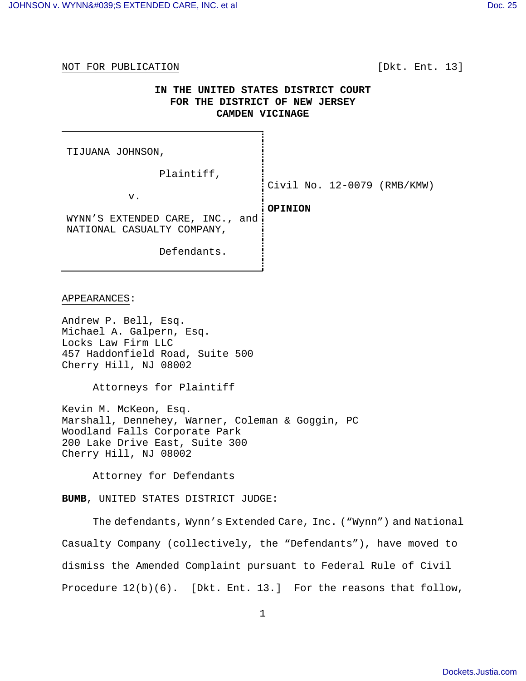| NOT FOR PUBLICATION                                           |                                                                                                 | [Dkt. Ent. 13] |
|---------------------------------------------------------------|-------------------------------------------------------------------------------------------------|----------------|
|                                                               | IN THE UNITED STATES DISTRICT COURT<br>FOR THE DISTRICT OF NEW JERSEY<br><b>CAMDEN VICINAGE</b> |                |
| TIJUANA JOHNSON,                                              |                                                                                                 |                |
| Plaintiff,                                                    |                                                                                                 |                |
| v.                                                            | Civil No. $12-0079$ (RMB/KMW)                                                                   |                |
| WYNN'S EXTENDED CARE, INC., and<br>NATIONAL CASUALTY COMPANY, | <b>OPINION</b>                                                                                  |                |
| Defendants.                                                   |                                                                                                 |                |

#### APPEARANCES:

Andrew P. Bell, Esq. Michael A. Galpern, Esq. Locks Law Firm LLC 457 Haddonfield Road, Suite 500 Cherry Hill, NJ 08002

Attorneys for Plaintiff

Kevin M. McKeon, Esq. Marshall, Dennehey, Warner, Coleman & Goggin, PC Woodland Falls Corporate Park 200 Lake Drive East, Suite 300 Cherry Hill, NJ 08002

Attorney for Defendants

**BUMB**, UNITED STATES DISTRICT JUDGE:

 The defendants, Wynn's Extended Care, Inc. ("Wynn") and National Casualty Company (collectively, the "Defendants"), have moved to dismiss the Amended Complaint pursuant to Federal Rule of Civil Procedure 12(b)(6). [Dkt. Ent. 13.] For the reasons that follow,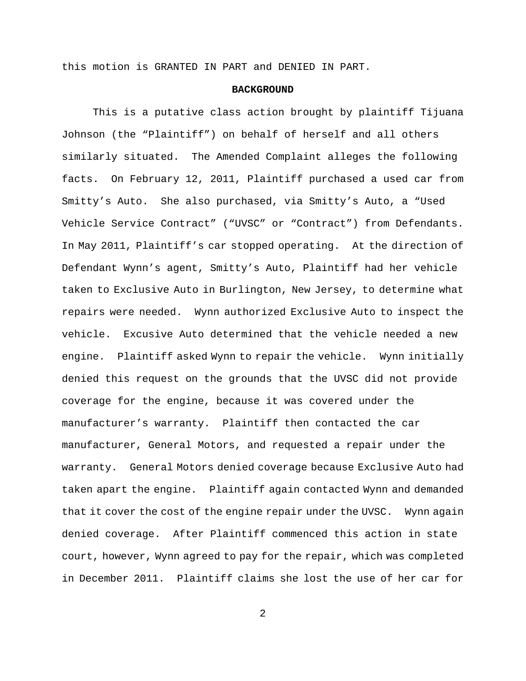this motion is GRANTED IN PART and DENIED IN PART.

# **BACKGROUND**

This is a putative class action brought by plaintiff Tijuana Johnson (the "Plaintiff") on behalf of herself and all others similarly situated. The Amended Complaint alleges the following facts. On February 12, 2011, Plaintiff purchased a used car from Smitty's Auto. She also purchased, via Smitty's Auto, a "Used Vehicle Service Contract" ("UVSC" or "Contract") from Defendants. In May 2011, Plaintiff's car stopped operating. At the direction of Defendant Wynn's agent, Smitty's Auto, Plaintiff had her vehicle taken to Exclusive Auto in Burlington, New Jersey, to determine what repairs were needed. Wynn authorized Exclusive Auto to inspect the vehicle. Excusive Auto determined that the vehicle needed a new engine. Plaintiff asked Wynn to repair the vehicle. Wynn initially denied this request on the grounds that the UVSC did not provide coverage for the engine, because it was covered under the manufacturer's warranty. Plaintiff then contacted the car manufacturer, General Motors, and requested a repair under the warranty. General Motors denied coverage because Exclusive Auto had taken apart the engine. Plaintiff again contacted Wynn and demanded that it cover the cost of the engine repair under the UVSC. Wynn again denied coverage. After Plaintiff commenced this action in state court, however, Wynn agreed to pay for the repair, which was completed in December 2011. Plaintiff claims she lost the use of her car for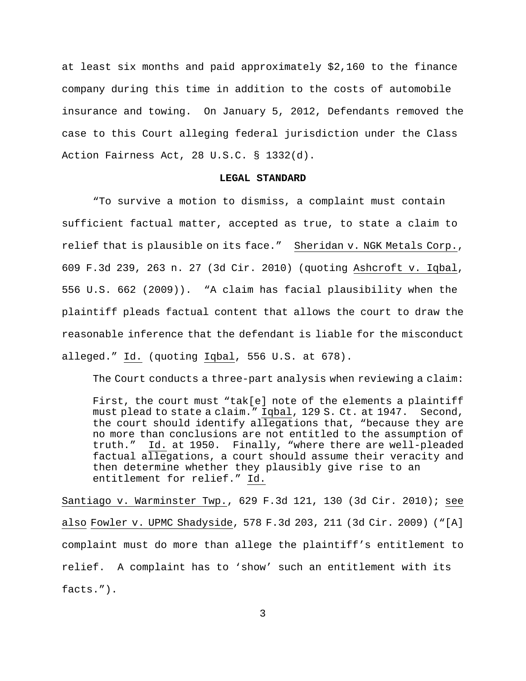at least six months and paid approximately \$2,160 to the finance company during this time in addition to the costs of automobile insurance and towing. On January 5, 2012, Defendants removed the case to this Court alleging federal jurisdiction under the Class Action Fairness Act, 28 U.S.C. § 1332(d).

### **LEGAL STANDARD**

 "To survive a motion to dismiss, a complaint must contain sufficient factual matter, accepted as true, to state a claim to relief that is plausible on its face." Sheridan v. NGK Metals Corp., 609 F.3d 239, 263 n. 27 (3d Cir. 2010) (quoting Ashcroft v. Iqbal, 556 U.S. 662 (2009)). "A claim has facial plausibility when the plaintiff pleads factual content that allows the court to draw the reasonable inference that the defendant is liable for the misconduct alleged." Id. (quoting Iqbal, 556 U.S. at 678).

The Court conducts a three-part analysis when reviewing a claim:

 First, the court must "tak[e] note of the elements a plaintiff must plead to state a claim." Iqbal, 129 S. Ct. at 1947. Second, the court should identify allegations that, "because they are no more than conclusions are not entitled to the assumption of truth." Id. at 1950. Finally, "where there are well-pleaded factual allegations, a court should assume their veracity and then determine whether they plausibly give rise to an entitlement for relief." Id.

Santiago v. Warminster Twp., 629 F.3d 121, 130 (3d Cir. 2010); see also Fowler v. UPMC Shadyside, 578 F.3d 203, 211 (3d Cir. 2009) ("[A] complaint must do more than allege the plaintiff's entitlement to relief. A complaint has to 'show' such an entitlement with its facts.").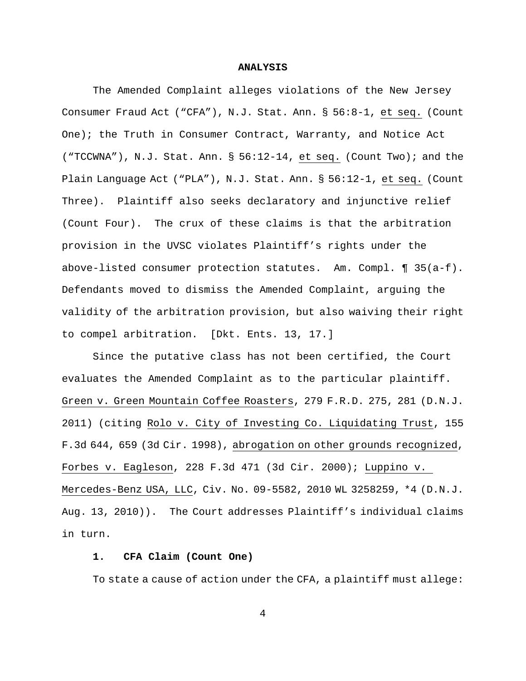#### **ANALYSIS**

The Amended Complaint alleges violations of the New Jersey Consumer Fraud Act ("CFA"), N.J. Stat. Ann. § 56:8-1, et seq. (Count One); the Truth in Consumer Contract, Warranty, and Notice Act ("TCCWNA"), N.J. Stat. Ann. § 56:12-14, et seq. (Count Two); and the Plain Language Act ("PLA"), N.J. Stat. Ann. § 56:12-1, et seq. (Count Three). Plaintiff also seeks declaratory and injunctive relief (Count Four). The crux of these claims is that the arbitration provision in the UVSC violates Plaintiff's rights under the above-listed consumer protection statutes. Am. Compl. ¶ 35(a-f). Defendants moved to dismiss the Amended Complaint, arguing the validity of the arbitration provision, but also waiving their right to compel arbitration. [Dkt. Ents. 13, 17.]

Since the putative class has not been certified, the Court evaluates the Amended Complaint as to the particular plaintiff. Green v. Green Mountain Coffee Roasters, 279 F.R.D. 275, 281 (D.N.J. 2011) (citing Rolo v. City of Investing Co. Liquidating Trust, 155 F.3d 644, 659 (3d Cir. 1998), abrogation on other grounds recognized, Forbes v. Eagleson, 228 F.3d 471 (3d Cir. 2000); Luppino v. Mercedes-Benz USA, LLC, Civ. No. 09-5582, 2010 WL 3258259, \*4 (D.N.J. Aug. 13, 2010)). The Court addresses Plaintiff's individual claims in turn.

# **1. CFA Claim (Count One)**

To state a cause of action under the CFA, a plaintiff must allege: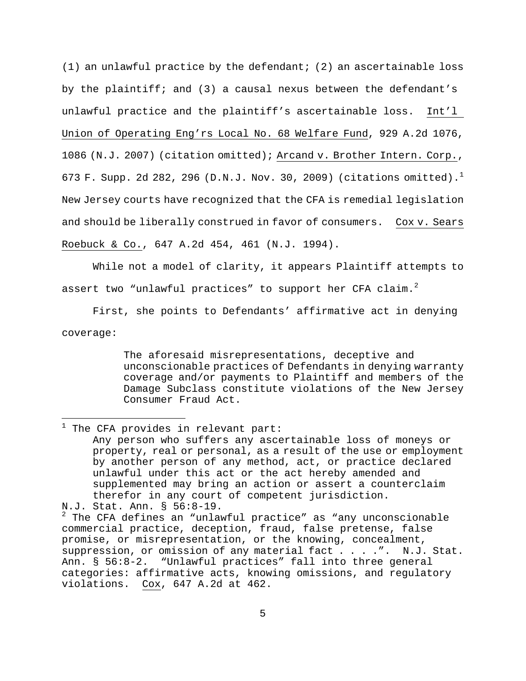$(1)$  an unlawful practice by the defendant;  $(2)$  an ascertainable loss by the plaintiff; and (3) a causal nexus between the defendant's unlawful practice and the plaintiff's ascertainable loss. Int'l Union of Operating Eng'rs Local No. 68 Welfare Fund, 929 A.2d 1076, 1086 (N.J. 2007) (citation omitted); Arcand v. Brother Intern. Corp., 673 F. Supp. 2d 282, 296 (D.N.J. Nov. 30, 2009) (citations omitted).<sup>1</sup> New Jersey courts have recognized that the CFA is remedial legislation and should be liberally construed in favor of consumers. Cox v. Sears Roebuck & Co., 647 A.2d 454, 461 (N.J. 1994).

While not a model of clarity, it appears Plaintiff attempts to assert two "unlawful practices" to support her CFA claim.<sup>2</sup>

First, she points to Defendants' affirmative act in denying coverage:

> The aforesaid misrepresentations, deceptive and unconscionable practices of Defendants in denying warranty coverage and/or payments to Plaintiff and members of the Damage Subclass constitute violations of the New Jersey Consumer Fraud Act.

÷,

 $1$  The CFA provides in relevant part: Any person who suffers any ascertainable loss of moneys or property, real or personal, as a result of the use or employment by another person of any method, act, or practice declared unlawful under this act or the act hereby amended and supplemented may bring an action or assert a counterclaim therefor in any court of competent jurisdiction.

N.J. Stat. Ann. § 56:8-19.

 $2$  The CFA defines an "unlawful practice" as "any unconscionable commercial practice, deception, fraud, false pretense, false promise, or misrepresentation, or the knowing, concealment, suppression, or omission of any material fact  $\dots$ .  $"$ . N.J. Stat. Ann. § 56:8-2. "Unlawful practices" fall into three general categories: affirmative acts, knowing omissions, and regulatory violations. Cox, 647 A.2d at 462.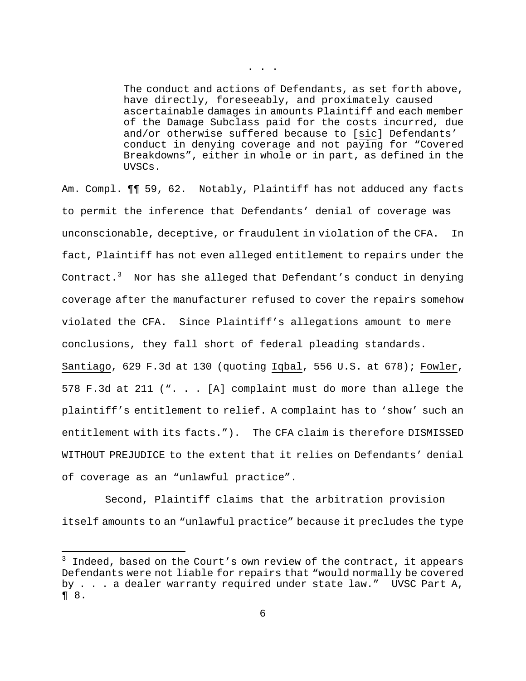The conduct and actions of Defendants, as set forth above, have directly, foreseeably, and proximately caused ascertainable damages in amounts Plaintiff and each member of the Damage Subclass paid for the costs incurred, due and/or otherwise suffered because to [sic] Defendants' conduct in denying coverage and not paying for "Covered Breakdowns", either in whole or in part, as defined in the UVSCs.

Am. Compl. ¶¶ 59, 62. Notably, Plaintiff has not adduced any facts to permit the inference that Defendants' denial of coverage was unconscionable, deceptive, or fraudulent in violation of the CFA. In fact, Plaintiff has not even alleged entitlement to repairs under the Contract. $3$  Nor has she alleged that Defendant's conduct in denying coverage after the manufacturer refused to cover the repairs somehow violated the CFA. Since Plaintiff's allegations amount to mere conclusions, they fall short of federal pleading standards. Santiago, 629 F.3d at 130 (quoting Iqbal, 556 U.S. at 678); Fowler,

578 F.3d at 211 (". . . [A] complaint must do more than allege the plaintiff's entitlement to relief. A complaint has to 'show' such an entitlement with its facts."). The CFA claim is therefore DISMISSED WITHOUT PREJUDICE to the extent that it relies on Defendants' denial of coverage as an "unlawful practice".

 Second, Plaintiff claims that the arbitration provision itself amounts to an "unlawful practice" because it precludes the type

 $3$  Indeed, based on the Court's own review of the contract, it appears Defendants were not liable for repairs that "would normally be covered by . . . a dealer warranty required under state law." UVSC Part A, ¶ 8.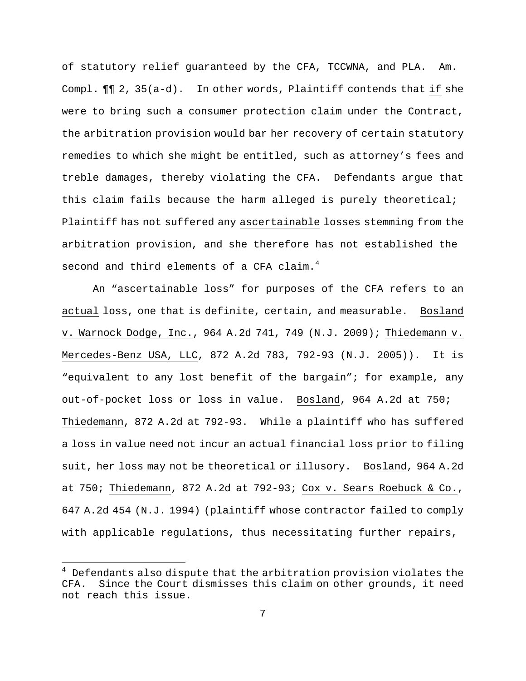of statutory relief guaranteed by the CFA, TCCWNA, and PLA. Am. Compl. ¶¶ 2, 35(a-d). In other words, Plaintiff contends that if she were to bring such a consumer protection claim under the Contract, the arbitration provision would bar her recovery of certain statutory remedies to which she might be entitled, such as attorney's fees and treble damages, thereby violating the CFA. Defendants argue that this claim fails because the harm alleged is purely theoretical; Plaintiff has not suffered any ascertainable losses stemming from the arbitration provision, and she therefore has not established the second and third elements of a CFA claim. $<sup>4</sup>$ </sup>

An "ascertainable loss" for purposes of the CFA refers to an actual loss, one that is definite, certain, and measurable. Bosland v. Warnock Dodge, Inc., 964 A.2d 741, 749 (N.J. 2009); Thiedemann v. Mercedes-Benz USA, LLC, 872 A.2d 783, 792-93 (N.J. 2005)). It is "equivalent to any lost benefit of the bargain"; for example, any out-of-pocket loss or loss in value. Bosland, 964 A.2d at 750; Thiedemann, 872 A.2d at 792-93. While a plaintiff who has suffered a loss in value need not incur an actual financial loss prior to filing suit, her loss may not be theoretical or illusory. Bosland, 964 A.2d at 750; Thiedemann, 872 A.2d at 792-93; Cox v. Sears Roebuck & Co., 647 A.2d 454 (N.J. 1994) (plaintiff whose contractor failed to comply with applicable regulations, thus necessitating further repairs,

i

 $4$  Defendants also dispute that the arbitration provision violates the CFA. Since the Court dismisses this claim on other grounds, it need not reach this issue.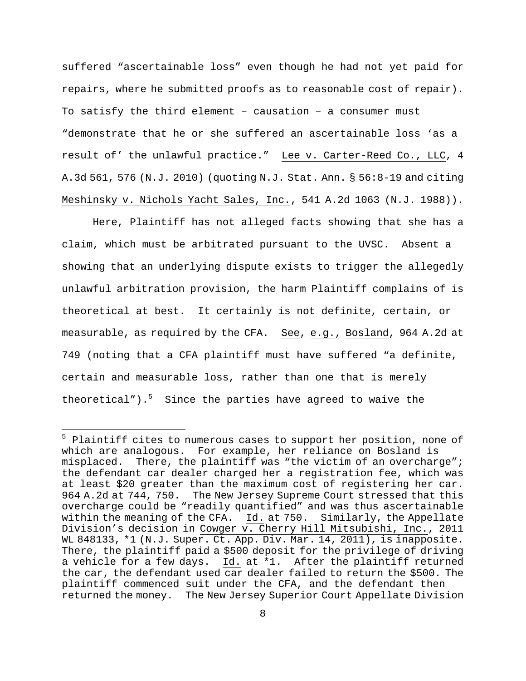suffered "ascertainable loss" even though he had not yet paid for repairs, where he submitted proofs as to reasonable cost of repair). To satisfy the third element – causation – a consumer must "demonstrate that he or she suffered an ascertainable loss 'as a result of' the unlawful practice." Lee v. Carter-Reed Co., LLC, 4 A.3d 561, 576 (N.J. 2010) (quoting N.J. Stat. Ann. § 56:8-19 and citing Meshinsky v. Nichols Yacht Sales, Inc., 541 A.2d 1063 (N.J. 1988)).

Here, Plaintiff has not alleged facts showing that she has a claim, which must be arbitrated pursuant to the UVSC. Absent a showing that an underlying dispute exists to trigger the allegedly unlawful arbitration provision, the harm Plaintiff complains of is theoretical at best. It certainly is not definite, certain, or measurable, as required by the CFA. See, e.g., Bosland, 964 A.2d at 749 (noting that a CFA plaintiff must have suffered "a definite, certain and measurable loss, rather than one that is merely theoretical"). $5$  Since the parties have agreed to waive the

i

<sup>&</sup>lt;sup>5</sup> Plaintiff cites to numerous cases to support her position, none of which are analogous. For example, her reliance on Bosland is misplaced. There, the plaintiff was "the victim of an overcharge"; the defendant car dealer charged her a registration fee, which was at least \$20 greater than the maximum cost of registering her car. 964 A.2d at 744, 750. The New Jersey Supreme Court stressed that this overcharge could be "readily quantified" and was thus ascertainable within the meaning of the CFA. Id. at 750. Similarly, the Appellate Division's decision in Cowger v. Cherry Hill Mitsubishi, Inc., 2011 WL 848133, \*1 (N.J. Super. Ct. App. Div. Mar. 14, 2011), is inapposite. There, the plaintiff paid a \$500 deposit for the privilege of driving a vehicle for a few days. Id. at \*1. After the plaintiff returned the car, the defendant used car dealer failed to return the \$500. The plaintiff commenced suit under the CFA, and the defendant then returned the money. The New Jersey Superior Court Appellate Division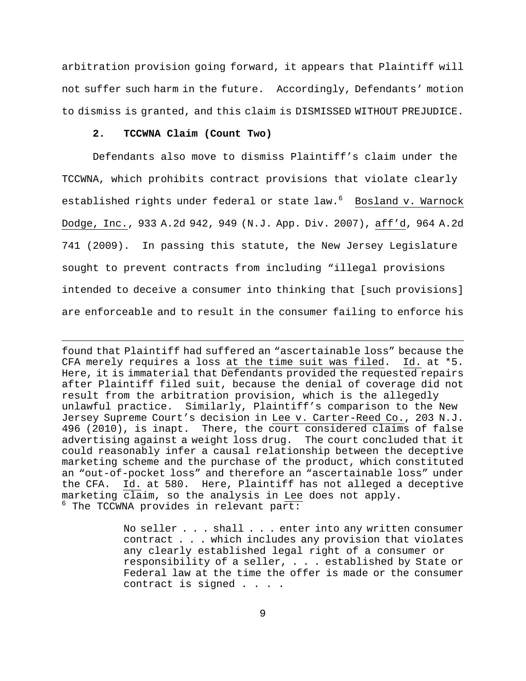arbitration provision going forward, it appears that Plaintiff will not suffer such harm in the future. Accordingly, Defendants' motion to dismiss is granted, and this claim is DISMISSED WITHOUT PREJUDICE.

## **2. TCCWNA Claim (Count Two)**

i

Defendants also move to dismiss Plaintiff's claim under the TCCWNA, which prohibits contract provisions that violate clearly established rights under federal or state law.<sup>6</sup> Bosland v. Warnock Dodge, Inc., 933 A.2d 942, 949 (N.J. App. Div. 2007), aff'd, 964 A.2d 741 (2009). In passing this statute, the New Jersey Legislature sought to prevent contracts from including "illegal provisions intended to deceive a consumer into thinking that [such provisions] are enforceable and to result in the consumer failing to enforce his

found that Plaintiff had suffered an "ascertainable loss" because the CFA merely requires a loss at the time suit was filed. Id. at \*5. Here, it is immaterial that Defendants provided the requested repairs after Plaintiff filed suit, because the denial of coverage did not result from the arbitration provision, which is the allegedly unlawful practice. Similarly, Plaintiff's comparison to the New Jersey Supreme Court's decision in Lee v. Carter-Reed Co., 203 N.J. 496 (2010), is inapt. There, the court considered claims of false advertising against a weight loss drug. The court concluded that it could reasonably infer a causal relationship between the deceptive marketing scheme and the purchase of the product, which constituted an "out-of-pocket loss" and therefore an "ascertainable loss" under the CFA. Id. at 580. Here, Plaintiff has not alleged a deceptive marketing claim, so the analysis in Lee does not apply.  $6$  The TCCWNA provides in relevant part:

> No seller . . . shall . . . enter into any written consumer contract . . . which includes any provision that violates any clearly established legal right of a consumer or responsibility of a seller, . . . established by State or Federal law at the time the offer is made or the consumer contract is signed . . . .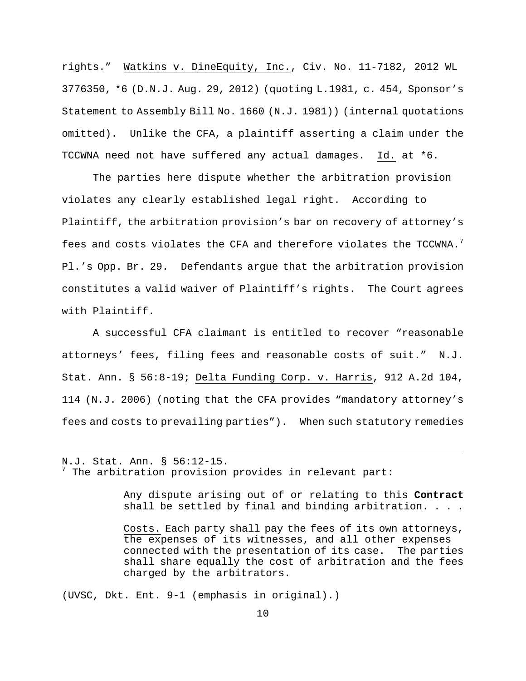rights." Watkins v. DineEquity, Inc., Civ. No. 11-7182, 2012 WL 3776350, \*6 (D.N.J. Aug. 29, 2012) (quoting L.1981, c. 454, Sponsor's Statement to Assembly Bill No. 1660 (N.J. 1981)) (internal quotations omitted). Unlike the CFA, a plaintiff asserting a claim under the TCCWNA need not have suffered any actual damages. Id. at \*6.

The parties here dispute whether the arbitration provision violates any clearly established legal right. According to Plaintiff, the arbitration provision's bar on recovery of attorney's fees and costs violates the CFA and therefore violates the TCCWNA.<sup>7</sup> Pl.'s Opp. Br. 29. Defendants argue that the arbitration provision constitutes a valid waiver of Plaintiff's rights. The Court agrees with Plaintiff.

A successful CFA claimant is entitled to recover "reasonable attorneys' fees, filing fees and reasonable costs of suit." N.J. Stat. Ann. § 56:8-19; Delta Funding Corp. v. Harris, 912 A.2d 104, 114 (N.J. 2006) (noting that the CFA provides "mandatory attorney's fees and costs to prevailing parties"). When such statutory remedies

Any dispute arising out of or relating to this **Contract** shall be settled by final and binding arbitration. . . .

Costs. Each party shall pay the fees of its own attorneys, the expenses of its witnesses, and all other expenses connected with the presentation of its case. The parties shall share equally the cost of arbitration and the fees charged by the arbitrators.

(UVSC, Dkt. Ent. 9-1 (emphasis in original).)

i

N.J. Stat. Ann. § 56:12-15.  $7$  The arbitration provision provides in relevant part: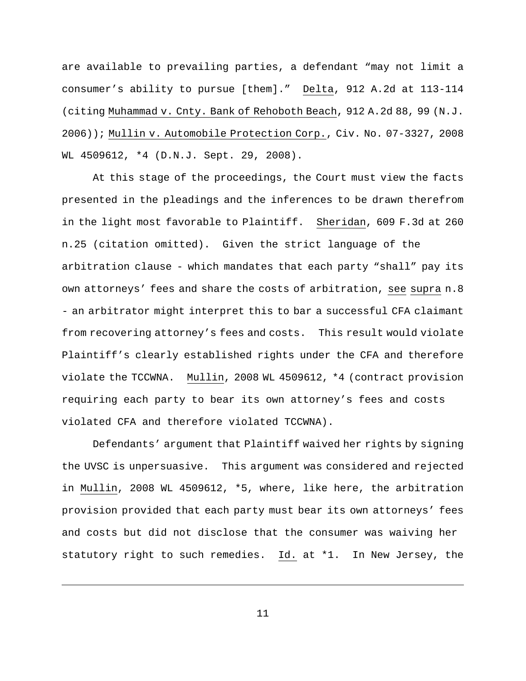are available to prevailing parties, a defendant "may not limit a consumer's ability to pursue [them]." Delta, 912 A.2d at 113-114 (citing Muhammad v. Cnty. Bank of Rehoboth Beach, 912 A.2d 88, 99 (N.J. 2006)); Mullin v. Automobile Protection Corp., Civ. No. 07-3327, 2008 WL 4509612, \*4 (D.N.J. Sept. 29, 2008).

At this stage of the proceedings, the Court must view the facts presented in the pleadings and the inferences to be drawn therefrom in the light most favorable to Plaintiff. Sheridan, 609 F.3d at 260 n.25 (citation omitted). Given the strict language of the arbitration clause - which mandates that each party "shall" pay its own attorneys' fees and share the costs of arbitration, see supra n.8 - an arbitrator might interpret this to bar a successful CFA claimant from recovering attorney's fees and costs. This result would violate Plaintiff's clearly established rights under the CFA and therefore violate the TCCWNA. Mullin, 2008 WL 4509612, \*4 (contract provision requiring each party to bear its own attorney's fees and costs violated CFA and therefore violated TCCWNA).

Defendants' argument that Plaintiff waived her rights by signing the UVSC is unpersuasive. This argument was considered and rejected in Mullin, 2008 WL 4509612, \*5, where, like here, the arbitration provision provided that each party must bear its own attorneys' fees and costs but did not disclose that the consumer was waiving her statutory right to such remedies. Id. at \*1. In New Jersey, the

11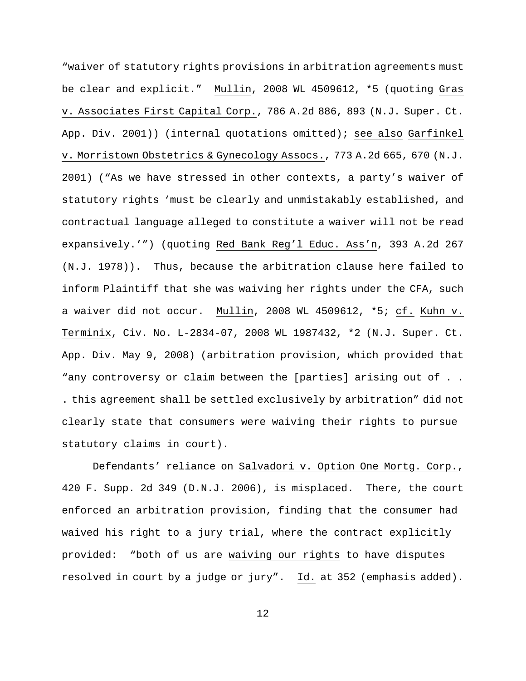"waiver of statutory rights provisions in arbitration agreements must be clear and explicit." Mullin, 2008 WL 4509612, \*5 (quoting Gras v. Associates First Capital Corp., 786 A.2d 886, 893 (N.J. Super. Ct. App. Div. 2001)) (internal quotations omitted); see also Garfinkel v. Morristown Obstetrics & Gynecology Assocs., 773 A.2d 665, 670 (N.J. 2001) ("As we have stressed in other contexts, a party's waiver of statutory rights 'must be clearly and unmistakably established, and contractual language alleged to constitute a waiver will not be read expansively.'") (quoting Red Bank Reg'l Educ. Ass'n, 393 A.2d 267 (N.J. 1978)). Thus, because the arbitration clause here failed to inform Plaintiff that she was waiving her rights under the CFA, such a waiver did not occur. Mullin, 2008 WL 4509612, \*5; cf. Kuhn v. Terminix, Civ. No. L-2834-07, 2008 WL 1987432, \*2 (N.J. Super. Ct. App. Div. May 9, 2008) (arbitration provision, which provided that "any controversy or claim between the [parties] arising out of . . . this agreement shall be settled exclusively by arbitration" did not clearly state that consumers were waiving their rights to pursue statutory claims in court).

Defendants' reliance on Salvadori v. Option One Mortg. Corp., 420 F. Supp. 2d 349 (D.N.J. 2006), is misplaced. There, the court enforced an arbitration provision, finding that the consumer had waived his right to a jury trial, where the contract explicitly provided: "both of us are waiving our rights to have disputes resolved in court by a judge or jury". Id. at 352 (emphasis added).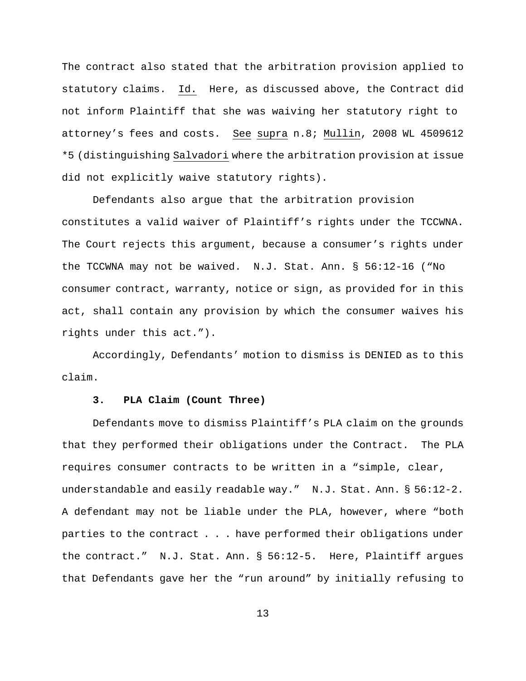The contract also stated that the arbitration provision applied to statutory claims. Id. Here, as discussed above, the Contract did not inform Plaintiff that she was waiving her statutory right to attorney's fees and costs. See supra n.8; Mullin, 2008 WL 4509612 \*5 (distinguishing Salvadori where the arbitration provision at issue did not explicitly waive statutory rights).

Defendants also argue that the arbitration provision constitutes a valid waiver of Plaintiff's rights under the TCCWNA. The Court rejects this argument, because a consumer's rights under the TCCWNA may not be waived. N.J. Stat. Ann. § 56:12-16 ("No consumer contract, warranty, notice or sign, as provided for in this act, shall contain any provision by which the consumer waives his rights under this act.").

Accordingly, Defendants' motion to dismiss is DENIED as to this claim.

### **3. PLA Claim (Count Three)**

Defendants move to dismiss Plaintiff's PLA claim on the grounds that they performed their obligations under the Contract. The PLA requires consumer contracts to be written in a "simple, clear, understandable and easily readable way." N.J. Stat. Ann. § 56:12-2. A defendant may not be liable under the PLA, however, where "both parties to the contract . . . have performed their obligations under the contract." N.J. Stat. Ann. § 56:12-5. Here, Plaintiff argues that Defendants gave her the "run around" by initially refusing to